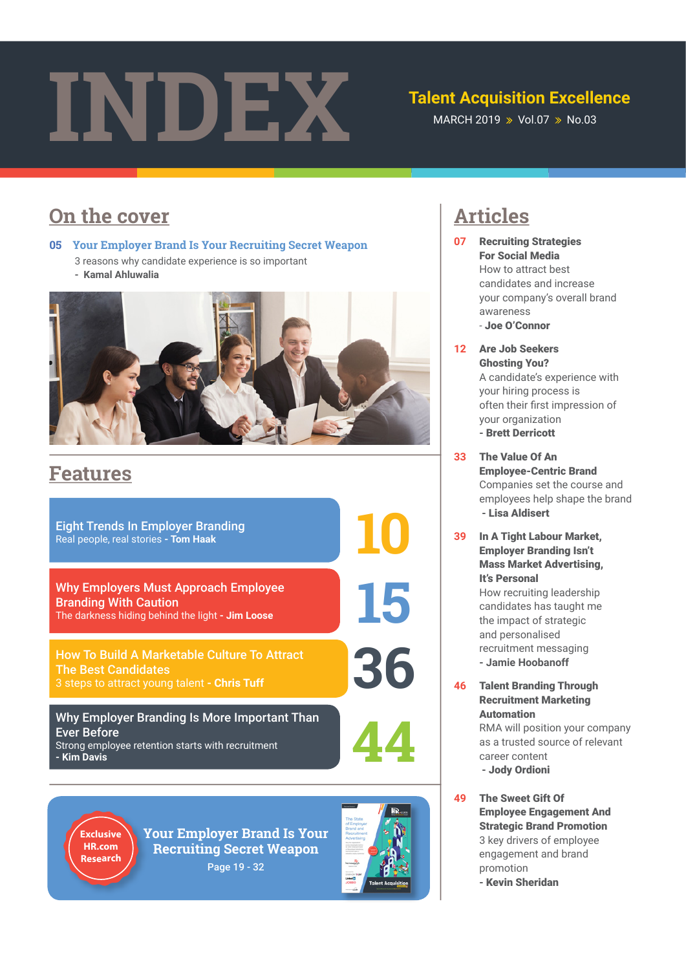# Talent Acquisition Excelle<br>MARCH 2019 » Vol.07 » No.03

## **Talent Acquisition Excellence**

# **On the cover articles**

**05 Your Employer Brand Is Your Recruiting Secret Weapon** 

- 3 reasons why candidate experience is so important
	- **Kamal Ahluwalia**



# **Features**

Eight Trends In Employer Branding Real people, real stories **- Tom Haak**

Why Employers Must Approach Employee Branding With Caution The darkness hiding behind the light **- Jim Loose**

How To Build A Marketable Culture To Attract<br>The Best Candidates<br>3 steps to attract young talent **- Chris Tuff 366** The Best Candidates

Why Employer Branding Is More Important Than Ever Before Strong employee retention starts with recruitment **- Kim Davis 44**

**10**

**15**



**Your Employer Brand Is Your recruiting secret Weapon**  Page 19 - 32



- **07** Recruiting Strategies For Social Media How to attract best candidates and increase your company's overall brand awareness *-* Joe O'Connor
- **12** Are Job Seekers Ghosting You? A candidate's experience with your hiring process is often their frst impression of your organization **-** Brett Derricott
- **33** The Value Of An Employee-Centric Brand Companies set the course and employees help shape the brand **-** Lisa Aldisert
- **39** In A Tight Labour Market, Employer Branding Isn't Mass Market Advertising, It's Personal How recruiting leadership candidates has taught me the impact of strategic and personalised recruitment messaging **- Jamie Hoobanoff**
- **46** Talent Branding Through Recruitment Marketing Automation RMA will position your company as a trusted source of relevant career content **-** Jody Ordioni
- **49** The Sweet Gift Of Employee Engagement And Strategic Brand Promotion 3 key drivers of employee engagement and brand promotion **-** Kevin Sheridan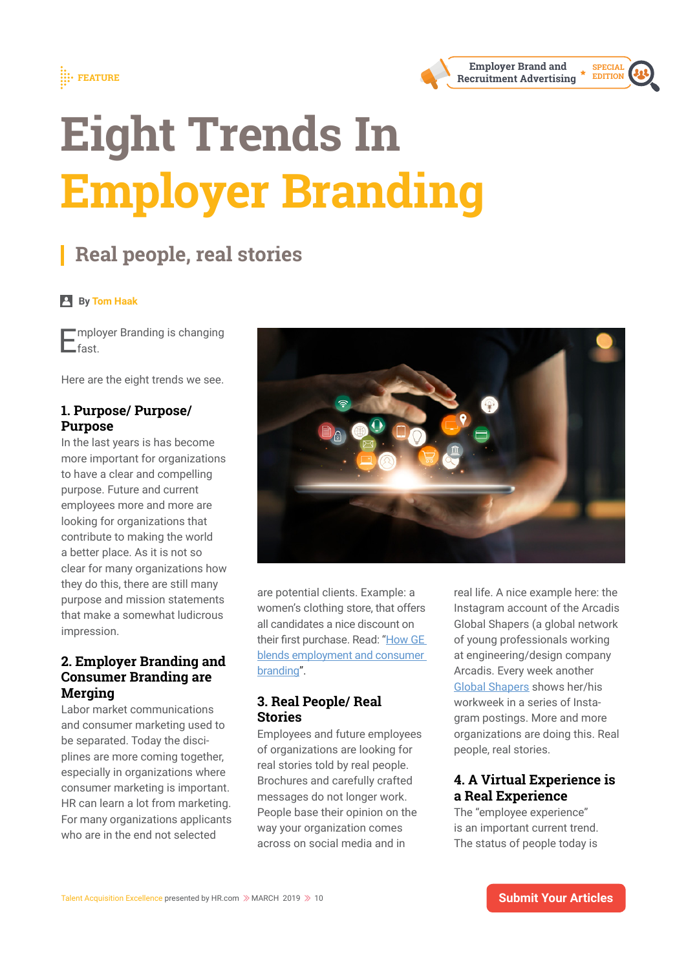





# **real people, real stories**

#### **By Tom Haak**

**Employer Branding is changing** .<br>fast

Here are the eight trends we see.

#### **1. purpose/ purpose/ purpose**

In the last years is has become more important for organizations to have a clear and compelling purpose. Future and current employees more and more are looking for organizations that contribute to making the world a better place. As it is not so clear for many organizations how they do this, there are still many purpose and mission statements that make a somewhat ludicrous impression.

### **2. Employer Branding and consumer Branding are merging**

Labor market communications and consumer marketing used to be separated. Today the disciplines are more coming together, especially in organizations where consumer marketing is important. HR can learn a lot from marketing. For many organizations applicants who are in the end not selected



are potential clients. Example: a women's clothing store, that offers all candidates a nice discount on their frst purchase. Read: "How GE blends employment and consumer branding".

#### **3. Real People/ Real stories**

Employees and future employees of organizations are looking for real stories told by real people. Brochures and carefully crafted messages do not longer work. People base their opinion on the way your organization comes across on social media and in

real life. A nice example here: the Instagram account of the Arcadis Global Shapers (a global network of young professionals working at engineering/design company Arcadis. Every week another Global Shapers shows her/his workweek in a series of Instagram postings. More and more organizations are doing this. Real people, real stories.

### **4. a Virtual Experience is a real Experience**

The "employee experience" is an important current trend. The status of people today is